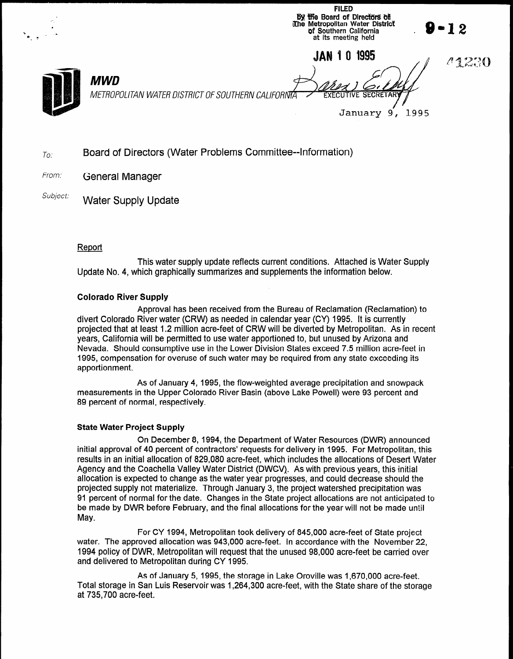FILED by the Board of Directors of Like Metropolitan Water District<br>
The Metropolitan Water District<br>
of Southern California .<br>
at its meeting held **JAN 1 0 1995** 1230 MWD METROPOLITAN WATER DISTRICT OF SOUTHERN CALIFOR January 9, 1995

- $T_{\text{O}}$  Board of Directors (Water Problems Committee--Information)
- From: **General Manager**
- Subject: Water Supply Update

#### Report

This water supply update reflects current conditions. Attached is Water Supply Update No. 4, which graphically summarizes and supplements the information below.

#### Colorado River Supply

Approval has been received from the Bureau of Reclamation (Reclamation) to divert Colorado River water (CRW) as needed in calendar year (CY) 1995. It is currently projected that at least 1.2 million acre-feet of CRW will be diverted by Metropolitan. As in recent years, California will be permitted to use water apportioned to, but unused by Arizona and Nevada. Should consumptive use in the Lower Division States exceed 7.5 million acre-feet in 1995, compensation for overuse of such water may be required from any state exceeding its apportionment.

As of January 4, 1995, the flow-weighted average precipitation and snowpack measurements in the Upper Colorado River Basin (above Lake Powell) were 93 percent and percent of normal control of the control of the control of the control of the control of the control of the co<br>As a control of the control of the control of the control of the control of the control of the control of the c

#### State Water Project Supply

On December 8, 1994, the Department of Water Resources (DWR) announced  $\frac{1}{2}$  on December 6, 1994, the Department of Water Resources (DWR) announced initial approval of 40 percent of contractors' requests for delivery in 1995. For Metropolitan, this results in an initial allocation of 829.080 acre-feet, which includes the allocations of Desert Water Agency and the Coachella Valley Water District (DWCV). As with previous years, this initial allocation is expected to change as the water year progresses, and could decrease should the projected supply not materialize. Through January 3, the project watershed precipitation was 91 percent of normal for the date. Changes in the State project allocations are not anticipated to be made by DWR before February, and the final allocations for the year will not be made until<br>May.

For CY 1994, Metropolitan took delivery of 845,000 acre-feet of State project. water. The approved allocation was 943,000 acre-feet. In accordance with the November 22, 1994 policy of DWR. Metropolitan will request that the unused 98,000 acre-feet be carried over  $A_n = \frac{1}{2}$ 

As of January 5, 1995, the storage in Lake Oroville was 1,670,000 acre-feet. Total storage in San Luis Reservoir was 1,264,300 acre-feet, with the State share of the storage at 735,700 acre-feet.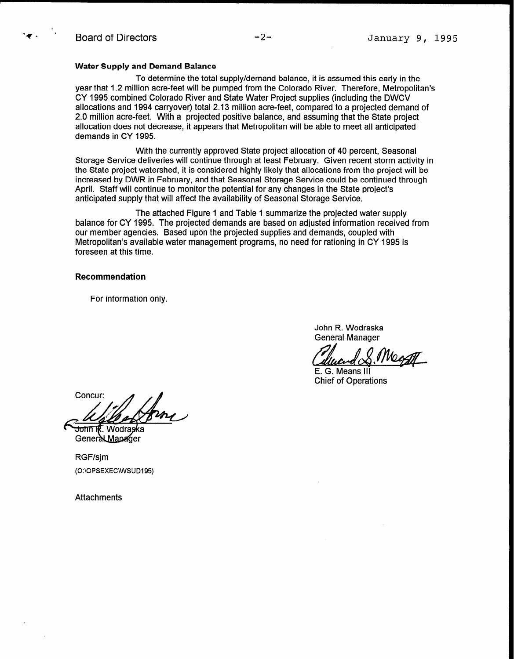#### Water Supply and Demand Balance

To determine the total supply/demand balance, it is assumed this early in the year that 1.2 million acre-feet will be pumped from the Colorado River. Therefore, Metropolitan's CY 1995 combined Colorado River and State Water Project supplies (including the DWCV allocations and 1994 carryover) total 2.13 million acre-feet, compared to a projected demand of 2.0 million acre-feet. With a projected positive balance, and assuming that the State project allocation does not decrease, it appears that Metropolitan will be able to meet all anticipated demands in CY 1995.

With the currently approved State project allocation of 40 percent, Seasonal Storage Service deliveries will continue through at least February. Given recent storm activity in the State project watershed, it is considered highly likely that allocations from the project will be increased by DWR in February, and that Seasonal Storage Service could be continued through April. Staff will continue to monitor the potential for any changes in the State project's anticipated supply that will affect the availability of Seasonal Storage Service.

The attached Figure 1 and Table 1 summarize the projected water supply balance for CY 1995. The projected demands are based on adjusted information received from our member agencies. Based upon the projected supplies and demands, coupled with Metropolitan's available water management programs, no need for rationing in CY 1995 is foreseen at this time.

#### Recommendation

For information only.

John R. Wodraska General Manager

1 Noc

E. G. Means III Chief of Operations

Concur:

1k. Wodraska <del>John</del> Genera LManager

RGF/sjm (O:\OPSEXEC\WSUD195)

**Attachments**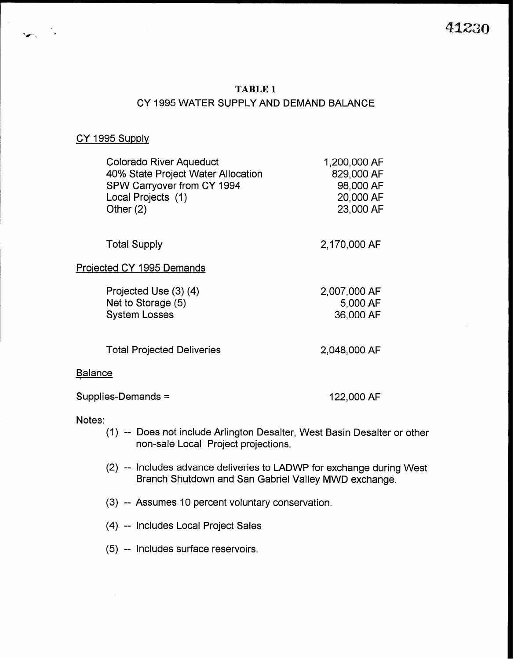41230

## TABLE 1

# CY 1995 WATER SUPPLY AND DEMAND BALANCE

#### CY 1995 Supply

| <b>Colorado River Aqueduct</b><br>40% State Project Water Allocation<br>SPW Carryover from CY 1994<br>Local Projects (1)<br>Other $(2)$ | 1,200,000 AF<br>829,000 AF<br>98,000 AF<br>20,000 AF<br>23,000 AF |
|-----------------------------------------------------------------------------------------------------------------------------------------|-------------------------------------------------------------------|
| <b>Total Supply</b>                                                                                                                     | 2,170,000 AF                                                      |
| Projected CY 1995 Demands                                                                                                               |                                                                   |
| Projected Use (3) (4)<br>Net to Storage (5)<br><b>System Losses</b>                                                                     | 2,007,000 AF<br>5,000 AF<br>36,000 AF                             |
| <b>Total Projected Deliveries</b>                                                                                                       | 2,048,000 AF                                                      |
| <b>Balance</b>                                                                                                                          |                                                                   |

Supplies-Demands = 122,000 AF

#### Notes:

- (1) -- Does not include Arlington Desalter, West Basin Desalter or other non-sale Local Project projections.
- (2) -- Includes advance deliveries to LADWP for exchange during West Branch Shutdown and San Gabriel Valley MWD exchange.
- (3) -- Assumes 10 percent voluntary conservation.
- (4) -- Includes Local Project Sales
- (5) -- Includes surface reservoirs.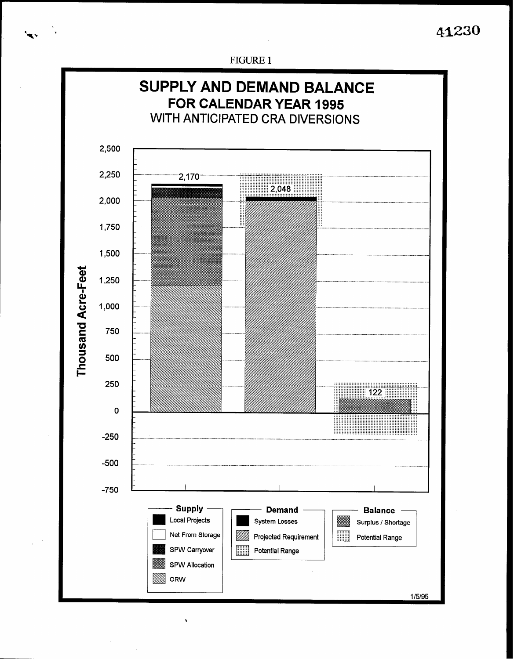41230

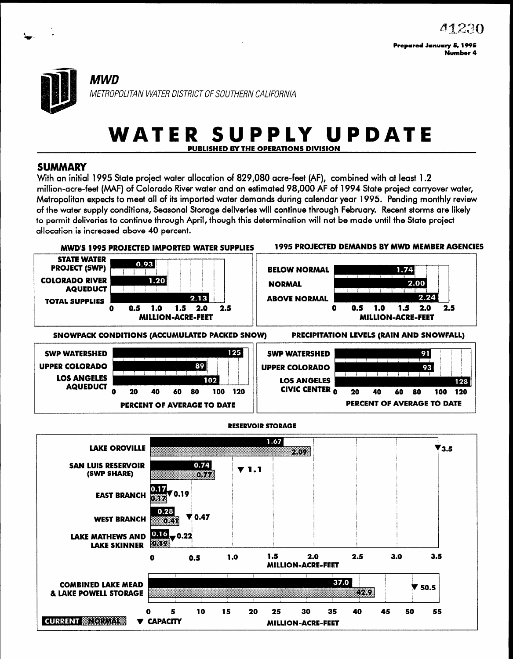

# WATER SUPPLY UPDATE PURLISHED BY THE OPERATIONS DIVISION

# SUMMARY

With an initial 1995 State project water allocation of 829,080 acre-feet (AF), combined with at least 1.2 million-acre-feet (MAF) of Colorado River water and an estimated 98,000 AF of 1994 State project carryover water, Metropolitan expects to meet all of its imported water demands during calendar year 1995. Pending monthly review of the water supply conditions, Seasonal Storage deliveries will continue through February. Recent storms are likely to permit deliveries to continue through April, though this determination will not be made until the State proiect allocation is increased above 40 percent.



40

**MILLION-ACRE-FEET** 

45

50

55

 $10 \quad 5 \quad 10 \quad 15 \quad 20 \quad 25 \quad 30 \quad 3$